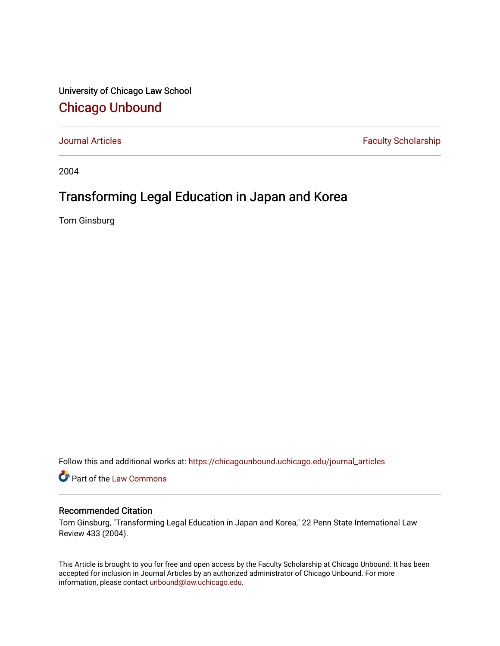University of Chicago Law School [Chicago Unbound](https://chicagounbound.uchicago.edu/)

[Journal Articles](https://chicagounbound.uchicago.edu/journal_articles) **Faculty Scholarship Faculty Scholarship** 

2004

# Transforming Legal Education in Japan and Korea

Tom Ginsburg

Follow this and additional works at: [https://chicagounbound.uchicago.edu/journal\\_articles](https://chicagounbound.uchicago.edu/journal_articles?utm_source=chicagounbound.uchicago.edu%2Fjournal_articles%2F1436&utm_medium=PDF&utm_campaign=PDFCoverPages) 

Part of the [Law Commons](http://network.bepress.com/hgg/discipline/578?utm_source=chicagounbound.uchicago.edu%2Fjournal_articles%2F1436&utm_medium=PDF&utm_campaign=PDFCoverPages)

#### Recommended Citation

Tom Ginsburg, "Transforming Legal Education in Japan and Korea," 22 Penn State International Law Review 433 (2004).

This Article is brought to you for free and open access by the Faculty Scholarship at Chicago Unbound. It has been accepted for inclusion in Journal Articles by an authorized administrator of Chicago Unbound. For more information, please contact [unbound@law.uchicago.edu](mailto:unbound@law.uchicago.edu).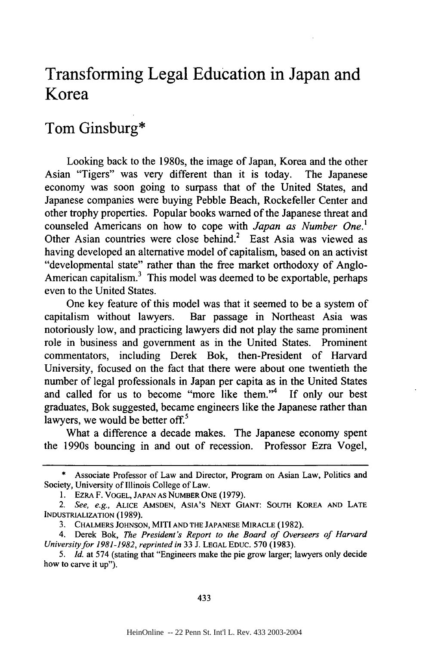## **Transforming Legal Education in Japan and Korea**

### **Tom Ginsburg\***

Looking back to the 1980s, the image of Japan, Korea and the other Asian "Tigers" was very different than it is today. The Japanese economy was soon going to surpass that of the United States, and Japanese companies were buying Pebble Beach, Rockefeller Center and other trophy properties. Popular books warned of the Japanese threat and counseled Americans on how to cope with *Japan as Number One.'* Other Asian countries were close behind.<sup>2</sup> East Asia was viewed as having developed an alternative model of capitalism, based on an activist "developmental state" rather than the free market orthodoxy of Anglo-American capitalism.<sup>3</sup> This model was deemed to be exportable, perhaps even to the United States.

One key feature of this model was that it seemed to be a system of capitalism without lawyers. Bar passage in Northeast Asia was notoriously low, and practicing lawyers did not play the same prominent role in business and government as in the United States. Prominent commentators, including Derek Bok, then-President of Harvard University, focused on the fact that there were about one twentieth the number of legal professionals in Japan per capita as in the United States and called for us to become "more like them."<sup>4</sup> If only our best graduates, Bok suggested, became engineers like the Japanese rather than lawyers, we would be better off.<sup>5</sup>

What a difference a decade makes. The Japanese economy spent the 1990s bouncing in and out of recession. Professor Ezra Vogel,

<sup>\*</sup> Associate Professor of Law and Director, Program on Asian Law, Politics and Society, University of Illinois College of Law.

<sup>1.</sup> EZRA F. **VOGEL, JAPAN** AS **NUMBER ONE** (1979).

*<sup>2.</sup> See, e.g.,* **ALICE AMSDEN,** ASIA'S **NEXT GIANT: SOUTH** KOREA **AND LATE** INDUSTRIALIZATION (1989).

<sup>3.</sup> **CHALMERS JOHNSON,** MITI **AND THE JAPANESE MIRACLE** (1982).

<sup>4.</sup> Derek Bok, *The President's Report to the Board of Overseers of Harvard University for 1981-1982, reprinted in* **33** J. **LEGAL EDUC.** 570 **(1983).**

*<sup>5.</sup> Id.* at 574 (stating that "Engineers make the pie grow larger; lawyers only decide how to carve it up").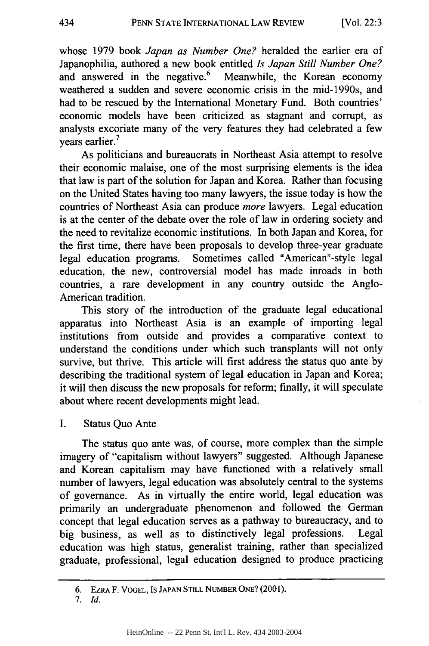whose 1979 book *Japan as Number One?* heralded the earlier era of Japanophilia, authored a new book entitled *Is Japan Still Number One?* and answered in the negative. $6$  Meanwhile, the Korean economy weathered a sudden and severe economic crisis in the mid-1990s, and had to be rescued by the International Monetary Fund. Both countries' economic models have been criticized as stagnant and corrupt, as analysts excoriate many of the very features they had celebrated a few years earlier.<sup>7</sup>

As politicians and bureaucrats in Northeast Asia attempt to resolve their economic malaise, one of the most surprising elements is the idea that law is part of the solution for Japan and Korea. Rather than focusing on the United States having too many lawyers, the issue today is how the countries of Northeast Asia can produce *more* lawyers. Legal education is at the center of the debate over the role of law in ordering society and the need to revitalize economic institutions. In both Japan and Korea, for the first time, there have been proposals to develop three-year graduate legal education programs. Sometimes called "American"-style legal education, the new, controversial model has made inroads in both countries, a rare development in any country outside the Anglo-American tradition.

This story of the introduction of the graduate legal educational apparatus into Northeast Asia is an example of importing legal institutions from outside and provides a comparative context to understand the conditions under which such transplants will not only survive, but thrive. This article will first address the status quo ante by describing the traditional system of legal education in Japan and Korea; it will then discuss the new proposals for reform; finally, it will speculate about where recent developments might lead.

I. Status Quo Ante

The status quo ante was, of course, more complex than the simple imagery of "capitalism without lawyers" suggested. Although Japanese and Korean capitalism may have functioned with a relatively small number of lawyers, legal education was absolutely central to the systems of governance. As in virtually the entire world, legal education was primarily an undergraduate phenomenon and followed the German concept that legal education serves as a pathway to bureaucracy, and to big business, as well as to distinctively legal professions. Legal education was high status, generalist training, rather than specialized graduate, professional, legal education designed to produce practicing

<sup>6.</sup> EZRA F. VOGEL, IS JAPAN STILL NUMBER **ONE?** (2001).

*<sup>7.</sup> Id.*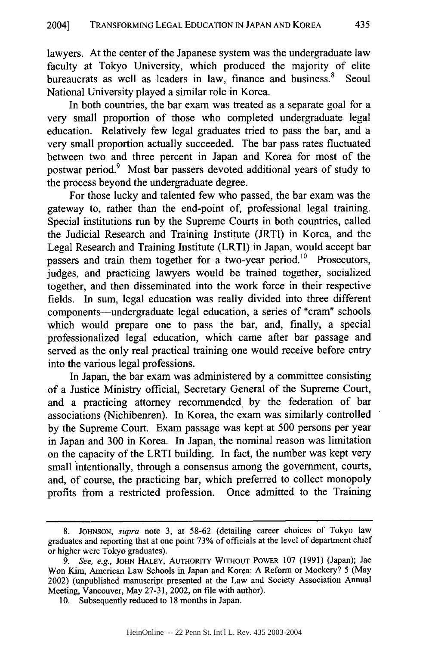lawyers. At the center of the Japanese system was the undergraduate law faculty at Tokyo University, which produced the majority of elite bureaucrats as well as leaders in law, finance and business.<sup>8</sup> Seoul National University played a similar role in Korea.

In both countries, the bar exam was treated as a separate goal for a very small proportion of those who completed undergraduate legal education. Relatively few legal graduates tried to pass the bar, and a very small proportion actually succeeded. The bar pass rates fluctuated between two and three percent in Japan and Korea for most of the postwar period.9 Most bar passers devoted additional years of study to the process beyond the undergraduate degree.

For those lucky and talented few who passed, the bar exam was the gateway to, rather than the end-point of, professional legal training. Special institutions run by the Supreme Courts in both countries, called the Judicial Research and Training Institute (JRTI) in Korea, and the Legal Research and Training Institute (LRTI) in Japan, would accept bar passers and train them together for a two-year period.<sup>10</sup> Prosecutors, judges, and practicing lawyers would be trained together, socialized together, and then disseminated into the work force in their respective fields. In sum, legal education was really divided into three different components-undergraduate legal education, a series of "cram" schools which would prepare one to pass the bar, and, finally, a special professionalized legal education, which came after bar passage and served as the only real practical training one would receive before entry into the various legal professions.

In Japan, the bar exam was administered by a committee consisting of a Justice Ministry official, Secretary General of the Supreme Court, and a practicing attorney recommended by the federation of bar associations (Nichibenren). In Korea, the exam was similarly controlled by the Supreme Court. Exam passage was kept at 500 persons per year in Japan and 300 in Korea. In Japan, the nominal reason was limitation on the capacity of the LRTI building. In fact, the number was kept very small intentionally, through a consensus among the government, courts, and, of course, the practicing bar, which preferred to collect monopoly profits from a restricted profession. Once admitted to the Training

<sup>8.</sup> **JOHNSON,** *supra* note 3, at 58-62 (detailing career choices of Tokyo law graduates and reporting that at one point 73% of officials at the level of department chief or higher were Tokyo graduates).

*<sup>9.</sup> See, e.g.,* JOHN **HALEY,** AUTHORITY WITHOUT POWER 107 (1991) (Japan); Jae Won Kim, American Law Schools in Japan and Korea: A Reform or Mockery? 5 (May 2002) (unpublished manuscript presented at the Law and Society Association Annual Meeting, Vancouver, May 27-31, 2002, on file with author).

<sup>10.</sup> Subsequently reduced to 18 months in Japan.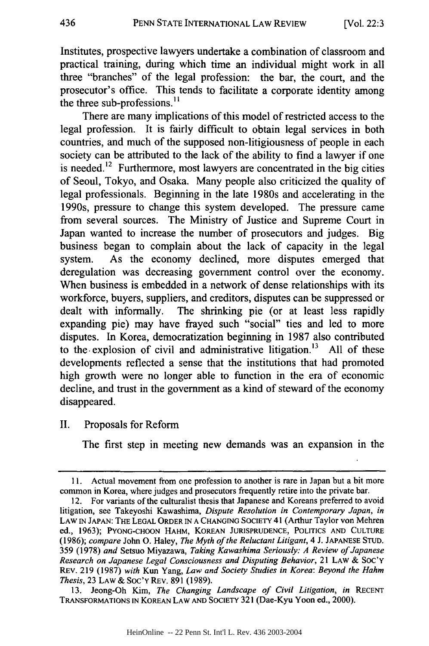Institutes, prospective lawyers undertake a combination of classroom and practical training, during which time an individual might work in all three "branches" of the legal profession: the bar, the court, and the prosecutor's office. This tends to facilitate a corporate identity among the three sub-professions.<sup>11</sup>

There are many implications of this model of restricted access to the legal profession. It is fairly difficult to obtain legal services in both countries, and much of the supposed non-litigiousness of people in each society can be attributed to the lack of the ability to find a lawyer if one is needed.<sup>12</sup> Furthermore, most lawyers are concentrated in the big cities of Seoul, Tokyo, and Osaka. Many people also criticized the quality of legal professionals. Beginning in the late 1980s and accelerating in the 1990s, pressure to change this system developed. The pressure came from several sources. The Ministry of Justice and Supreme Court in Japan wanted to increase the number of prosecutors and judges. Big business began to complain about the lack of capacity in the legal system. As the economy declined, more disputes emerged that deregulation was decreasing government control over the economy. When business is embedded in a network of dense relationships with its workforce, buyers, suppliers, and creditors, disputes can be suppressed or dealt with informally. The shrinking pie (or at least less rapidly expanding pie) may have frayed such "social" ties and led to more disputes. In Korea, democratization beginning in 1987 also contributed to the explosion of civil and administrative litigation.<sup>13</sup> All of these developments reflected a sense that the institutions that had promoted high growth were no longer able to function in the era of economic decline, and trust in the government as a kind of steward of the economy disappeared.

II. Proposals for Reform

The first step in meeting new demands was an expansion in the

13. Jeong-Oh Kim, *The Changing Landscape of Civil Litigation, in* **RECENT** TRANSFORMATIONS IN KOREAN LAW **AND** SOCIETY 321 (Dae-Kyu Yoon ed., 2000).

**<sup>11.</sup>** Actual movement from one profession to another is rare in Japan but a bit more common in Korea, where judges and prosecutors frequently retire into the private bar.

<sup>12.</sup> For variants of the culturalist thesis that Japanese and Koreans preferred to avoid litigation, see Takeyoshi Kawashima, *Dispute Resolution in Contemporary Japan, in* LAW **IN JAPAN: THE LEGAL** ORDER IN **A CHANGING SOCIETY** 41 (Arthur Taylor von Mehren ed., 1963); **PYONG-CHOON** HAHM, KOREAN **JURISPRUDENCE, POLITICS AND CULTURE** (1986); *compare* John **0.** Haley, *The Myth of the Reluctant Litigant,* 4 J. **JAPANESE** STUD. 359 (1978) *and* Setsuo Miyazawa, *Taking Kawashima Seriously: A Review of Japanese Research on Japanese Legal Consciousness and Disputing Behavior,* 21 LAW & SOC'Y REv. 219 (1987) *with* Kun Yang, *Law and Society Studies in Korea: Beyond the Hahm Thesis,* 23 LAW & SoC'Y REv. 891 (1989).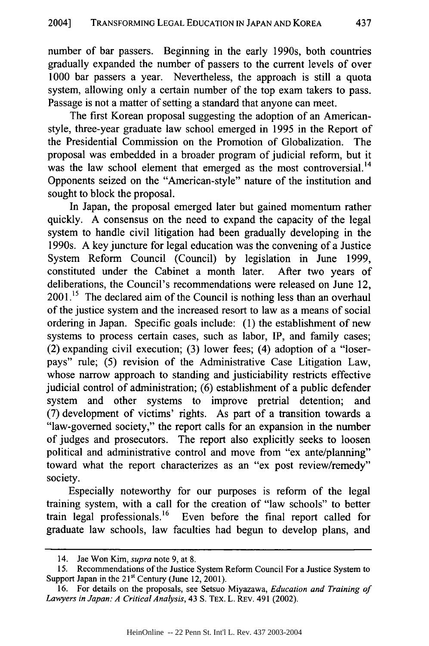number of bar passers. Beginning in the early 1990s, both countries gradually expanded the number of passers to the current levels of over 1000 bar passers a year. Nevertheless, the approach is still a quota system, allowing only a certain number of the top exam takers to pass. Passage is not a matter of setting a standard that anyone can meet.

The first Korean proposal suggesting the adoption of an Americanstyle, three-year graduate law school emerged in 1995 in the Report of the Presidential Commission on the Promotion of Globalization. The proposal was embedded in a broader program of judicial reform, but it was the law school element that emerged as the most controversial.<sup>14</sup> Opponents seized on the "American-style" nature of the institution and sought to block the proposal.

In Japan, the proposal emerged later but gained momentum rather quickly. A consensus on the need to expand the capacity of the legal system to handle civil litigation had been gradually developing in the 1990s. A key juncture for legal education was the convening of a Justice System Reform Council (Council) by legislation in June 1999, constituted under the Cabinet a month later. After two years of deliberations, the Council's recommendations were released on June 12, 2001 **.5** The declared aim of the Council is nothing less than an overhaul of the justice system and the increased resort to law as a means of social ordering in Japan. Specific goals include: (1) the establishment of new systems to process certain cases, such as labor, IP, and family cases; (2) expanding civil execution; (3) lower fees; (4) adoption of a "loserpays" rule; (5) revision of the Administrative Case Litigation Law, whose narrow approach to standing and justiciability restricts effective judicial control of administration; (6) establishment of a public defender system and other systems to improve pretrial detention; and (7) development of victims' rights. As part of a transition towards a "law-governed society," the report calls for an expansion in the number of judges and prosecutors. The report also explicitly seeks to loosen political and administrative control and move from "ex ante/planning" toward what the report characterizes as an "ex post review/remedy" society.

Especially noteworthy for our purposes is reform of the legal training system, with a call for the creation of "law schools" to better train legal professionals. 16 Even before the final report called for graduate law schools, law faculties had begun to develop plans, and

<sup>14.</sup> Jae Won Kim, *supra* note 9, at 8.

<sup>15.</sup> Recommendations of the Justice System Reform Council For a Justice System to Support Japan in the  $21^{st}$  Century (June 12, 2001).

<sup>16.</sup> For details on the proposals, see Setsuo Miyazawa, *Education and Training of Lawyers in Japan: A CriticalAnalysis,* 43 **S.** TEX. L. REv. 491 (2002).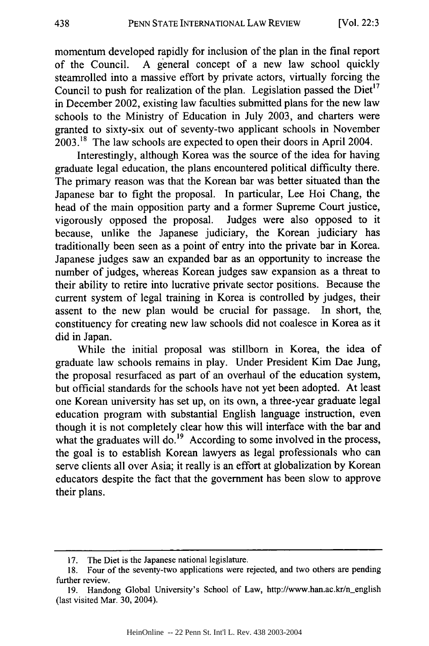momentum developed rapidly for inclusion of the plan in the final report of the Council. A general concept of a new law school quickly steamrolled into a massive effort by private actors, virtually forcing the Council to push for realization of the plan. Legislation passed the  $Diet<sup>17</sup>$ in December 2002, existing law faculties submitted plans for the new law schools to the Ministry of Education in July 2003, and charters were granted to sixty-six out of seventy-two applicant schools in November 2003.'8 The law schools are expected to open their doors in April 2004.

Interestingly, although Korea was the source of the idea for having graduate legal education, the plans encountered political difficulty there. The primary reason was that the Korean bar was better situated than the Japanese bar to fight the proposal. In particular, Lee Hoi Chang, the head of the main opposition party and a former Supreme Court justice, vigorously opposed the proposal. Judges were also opposed to it because, unlike the Japanese judiciary, the Korean judiciary has traditionally been seen as a point of entry into the private bar in Korea. Japanese judges saw an expanded bar as an opportunity to increase the number of judges, whereas Korean judges saw expansion as a threat to their ability to retire into lucrative private sector positions. Because the current system of legal training in Korea is controlled by judges, their assent to the new plan would be crucial for passage. In short, the. constituency for creating new law schools did not coalesce in Korea as it did in Japan.

While the initial proposal was stillborn in Korea, the idea of graduate law schools remains in play. Under President Kim Dae Jung, the proposal resurfaced as part of an overhaul of the education system, but official standards for the schools have not yet been adopted. At least one Korean university has set up, on its own, a three-year graduate legal education program with substantial English language instruction, even though it is not completely clear how this will interface with the bar and what the graduates will do.<sup>19</sup> According to some involved in the process, the goal is to establish Korean lawyers as legal professionals who can serve clients all over Asia; it really is an effort at globalization by Korean educators despite the fact that the government has been slow to approve their plans.

<sup>17.</sup> The Diet is the Japanese national legislature.

<sup>18.</sup> Four of the seventy-two applications were rejected, and two others are pending further review.

<sup>19.</sup> Handong Global University's School of Law, http://www.han.ac.kr/n-english (last visited Mar. 30, 2004).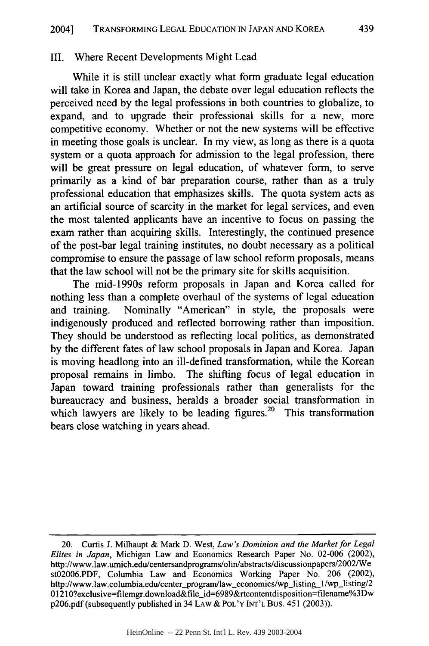#### III. Where Recent Developments Might Lead

While it is still unclear exactly what form graduate legal education will take in Korea and Japan, the debate over legal education reflects the perceived need by the legal professions in both countries to globalize, to expand, and to upgrade their professional skills for a new, more competitive economy. Whether or not the new systems will be effective in meeting those goals is unclear. In my view, as long as there is a quota system or a quota approach for admission to the legal profession, there will be great pressure on legal education, of whatever form, to serve primarily as a kind of bar preparation course, rather than as a truly professional education that emphasizes skills. The quota system acts as an artificial source of scarcity in the market for legal services, and even the most talented applicants have an incentive to focus on passing the exam rather than acquiring skills. Interestingly, the continued presence of the post-bar legal training institutes, no doubt necessary as a political compromise to ensure the passage of law school reform proposals, means that the law school will not be the primary site for skills acquisition.

The mid-1990s reform proposals in Japan and Korea called for nothing less than a complete overhaul of the systems of legal education and training. Nominally "American" in style, the proposals were indigenously produced and reflected borrowing rather than imposition. They should be understood as reflecting local politics, as demonstrated by the different fates of law school proposals in Japan and Korea. Japan is moving headlong into an ill-defined transformation, while the Korean proposal remains in limbo. The shifting focus of legal education in Japan toward training professionals rather than generalists for the bureaucracy and business, heralds a broader social transformation in which lawyers are likely to be leading figures.<sup>20</sup> This transformation bears close watching in years ahead.

<sup>20.</sup> Curtis J. Milhaupt & Mark D. West, *Law's Dominion and the Market for Legal Elites in Japan,* Michigan Law and Economics Research Paper No. 02-006 (2002), http://www.law.umich.edu/centersandprograms/olin/abstracts/discussionpapers/2002/We st02006.PDF, Columbia Law and Economics Working Paper No. 206 (2002), http://www.law.columbia.edu/center\_program/law\_economics/wp\_listing\_1/wp\_listing/2 01210?exclusive=filemgr.download&file id=6989&rtcontentdisposition=filename%3Dw p206.pdf (subsequently published in 34 LAW & POL'Y INT'L Bus. 451 (2003)).